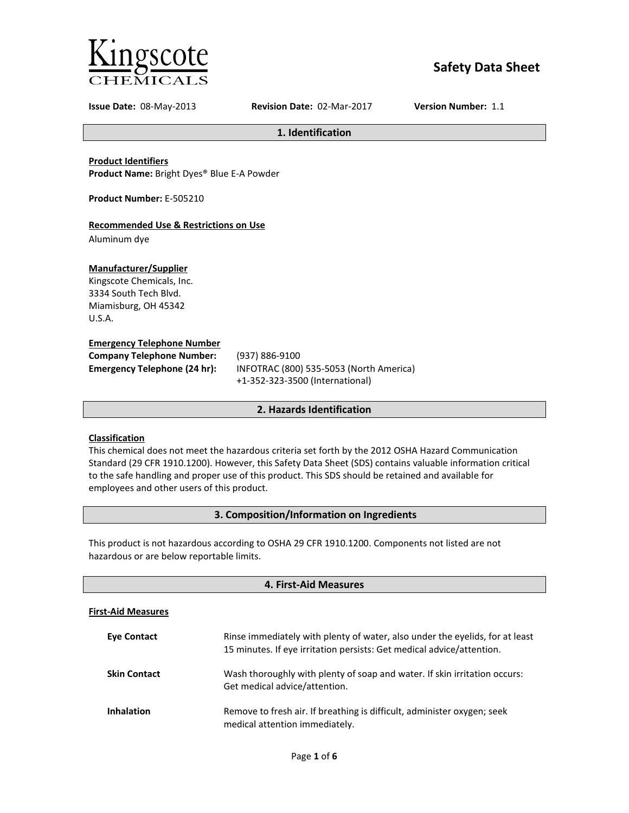

# **Safety Data Sheet**

**Issue Date:** 08-May-2013 **Revision Date:** 02-Mar-2017 **Version Number:** 1.1

**1. Identification**

**Product Identifiers Product Name:** Bright Dyes® Blue E-A Powder

**Product Number:** E-505210

## **Recommended Use & Restrictions on Use**

Aluminum dye

### **Manufacturer/Supplier**

Kingscote Chemicals, Inc. 3334 South Tech Blvd. Miamisburg, OH 45342 U.S.A.

#### **Emergency Telephone Number**

| <b>Company Telephone Number:</b>    | (93)       |
|-------------------------------------|------------|
| <b>Emergency Telephone (24 hr):</b> | <b>INF</b> |
|                                     |            |

**Company Telephone Number:** (937) 886-9100 **Emergency Telephone (24 hr):** INFOTRAC (800) 535-5053 (North America) +1-352-323-3500 (International)

## **2. Hazards Identification**

## **Classification**

This chemical does not meet the hazardous criteria set forth by the 2012 OSHA Hazard Communication Standard (29 CFR 1910.1200). However, this Safety Data Sheet (SDS) contains valuable information critical to the safe handling and proper use of this product. This SDS should be retained and available for employees and other users of this product.

## **3. Composition/Information on Ingredients**

This product is not hazardous according to OSHA 29 CFR 1910.1200. Components not listed are not hazardous or are below reportable limits.

| 4. First-Aid Measures     |                                                                                                                                                       |
|---------------------------|-------------------------------------------------------------------------------------------------------------------------------------------------------|
| <b>First-Aid Measures</b> |                                                                                                                                                       |
| <b>Eve Contact</b>        | Rinse immediately with plenty of water, also under the eyelids, for at least<br>15 minutes. If eye irritation persists: Get medical advice/attention. |
| <b>Skin Contact</b>       | Wash thoroughly with plenty of soap and water. If skin irritation occurs:<br>Get medical advice/attention.                                            |
| <b>Inhalation</b>         | Remove to fresh air. If breathing is difficult, administer oxygen; seek<br>medical attention immediately.                                             |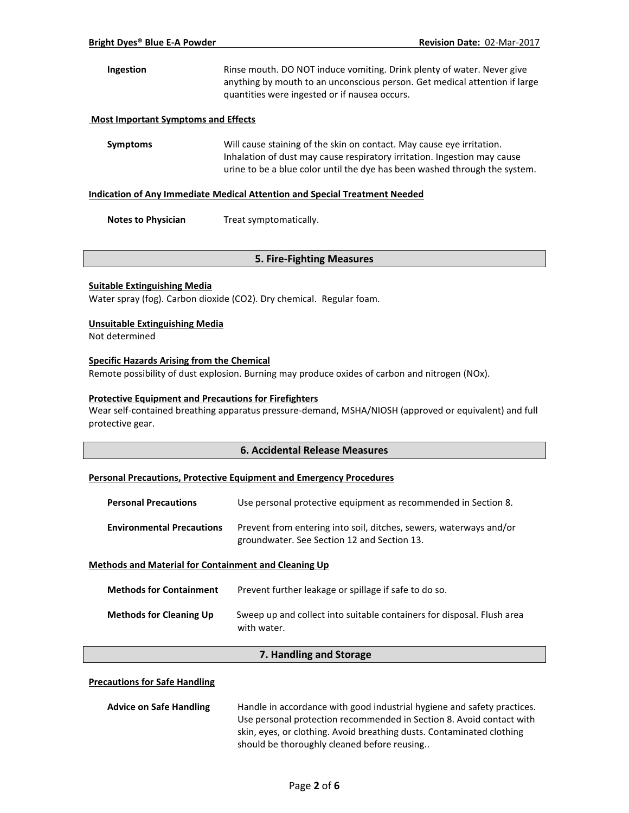## **Ingestion** Rinse mouth. DO NOT induce vomiting. Drink plenty of water. Never give anything by mouth to an unconscious person. Get medical attention if large quantities were ingested or if nausea occurs.

### **Most Important Symptoms and Effects**

**Symptoms** Will cause staining of the skin on contact. May cause eye irritation. Inhalation of dust may cause respiratory irritation. Ingestion may cause urine to be a blue color until the dye has been washed through the system.

#### **Indication of Any Immediate Medical Attention and Special Treatment Needed**

**Notes to Physician** Treat symptomatically.

## **5. Fire-Fighting Measures**

### **Suitable Extinguishing Media**

Water spray (fog). Carbon dioxide (CO2). Dry chemical. Regular foam.

#### **Unsuitable Extinguishing Media**

Not determined

### **Specific Hazards Arising from the Chemical**

Remote possibility of dust explosion. Burning may produce oxides of carbon and nitrogen (NOx).

### **Protective Equipment and Precautions for Firefighters**

Wear self-contained breathing apparatus pressure-demand, MSHA/NIOSH (approved or equivalent) and full protective gear.

## **6. Accidental Release Measures**

#### **Personal Precautions, Protective Equipment and Emergency Procedures**

| <b>Personal Precautions</b>      | Use personal protective equipment as recommended in Section 8.                                                    |
|----------------------------------|-------------------------------------------------------------------------------------------------------------------|
| <b>Environmental Precautions</b> | Prevent from entering into soil, ditches, sewers, waterways and/or<br>groundwater. See Section 12 and Section 13. |

#### **Methods and Material for Containment and Cleaning Up**

| <b>Methods for Containment</b> | Prevent further leakage or spillage if safe to do so.                                 |
|--------------------------------|---------------------------------------------------------------------------------------|
| <b>Methods for Cleaning Up</b> | Sweep up and collect into suitable containers for disposal. Flush area<br>with water. |

## **7. Handling and Storage**

#### **Precautions for Safe Handling**

| <b>Advice on Safe Handling</b> | Handle in accordance with good industrial hygiene and safety practices. |
|--------------------------------|-------------------------------------------------------------------------|
|                                | Use personal protection recommended in Section 8. Avoid contact with    |
|                                | skin, eyes, or clothing. Avoid breathing dusts. Contaminated clothing   |
|                                | should be thoroughly cleaned before reusing                             |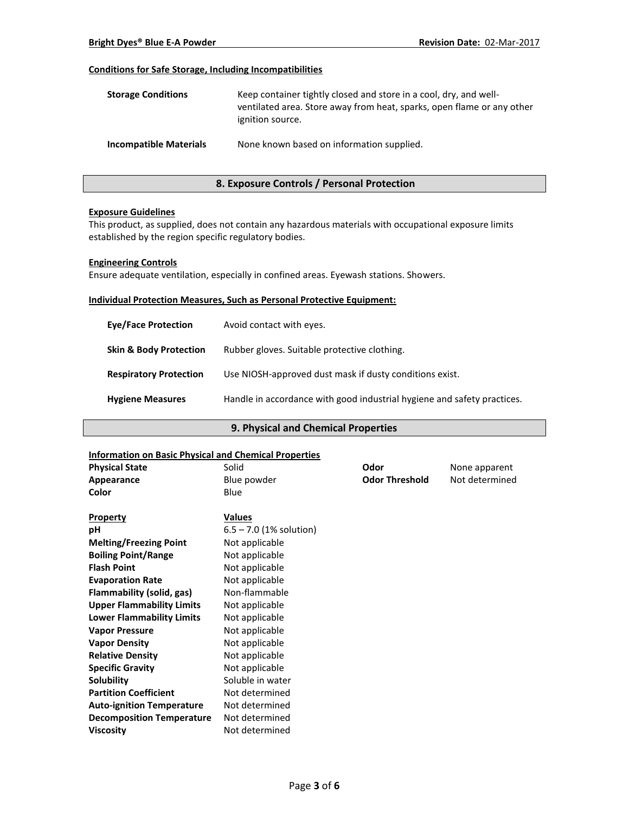### **Conditions for Safe Storage, Including Incompatibilities**

| <b>Storage Conditions</b>     | Keep container tightly closed and store in a cool, dry, and well-<br>ventilated area. Store away from heat, sparks, open flame or any other<br>ignition source. |
|-------------------------------|-----------------------------------------------------------------------------------------------------------------------------------------------------------------|
| <b>Incompatible Materials</b> | None known based on information supplied.                                                                                                                       |

## **8. Exposure Controls / Personal Protection**

#### **Exposure Guidelines**

This product, as supplied, does not contain any hazardous materials with occupational exposure limits established by the region specific regulatory bodies.

#### **Engineering Controls**

Ensure adequate ventilation, especially in confined areas. Eyewash stations. Showers.

#### **Individual Protection Measures, Such as Personal Protective Equipment:**

| <b>Eve/Face Protection</b>        | Avoid contact with eyes.                                                |
|-----------------------------------|-------------------------------------------------------------------------|
| <b>Skin &amp; Body Protection</b> | Rubber gloves. Suitable protective clothing.                            |
| <b>Respiratory Protection</b>     | Use NIOSH-approved dust mask if dusty conditions exist.                 |
| <b>Hygiene Measures</b>           | Handle in accordance with good industrial hygiene and safety practices. |

## **9. Physical and Chemical Properties**

#### **Information on Basic Physical and Chemical Properties**

| <b>Physical State</b>            | Solid                     | Odor                  | None apparent  |
|----------------------------------|---------------------------|-----------------------|----------------|
| Appearance                       | Blue powder               | <b>Odor Threshold</b> | Not determined |
| Color                            | Blue                      |                       |                |
| <b>Property</b>                  | <b>Values</b>             |                       |                |
| pH                               | $6.5 - 7.0$ (1% solution) |                       |                |
| <b>Melting/Freezing Point</b>    | Not applicable            |                       |                |
| <b>Boiling Point/Range</b>       | Not applicable            |                       |                |
| <b>Flash Point</b>               | Not applicable            |                       |                |
| <b>Evaporation Rate</b>          | Not applicable            |                       |                |
| Flammability (solid, gas)        | Non-flammable             |                       |                |
| <b>Upper Flammability Limits</b> | Not applicable            |                       |                |
| <b>Lower Flammability Limits</b> | Not applicable            |                       |                |
| <b>Vapor Pressure</b>            | Not applicable            |                       |                |
| <b>Vapor Density</b>             | Not applicable            |                       |                |
| <b>Relative Density</b>          | Not applicable            |                       |                |
| <b>Specific Gravity</b>          | Not applicable            |                       |                |
| <b>Solubility</b>                | Soluble in water          |                       |                |
| <b>Partition Coefficient</b>     | Not determined            |                       |                |
| <b>Auto-ignition Temperature</b> | Not determined            |                       |                |
| <b>Decomposition Temperature</b> | Not determined            |                       |                |
| <b>Viscosity</b>                 | Not determined            |                       |                |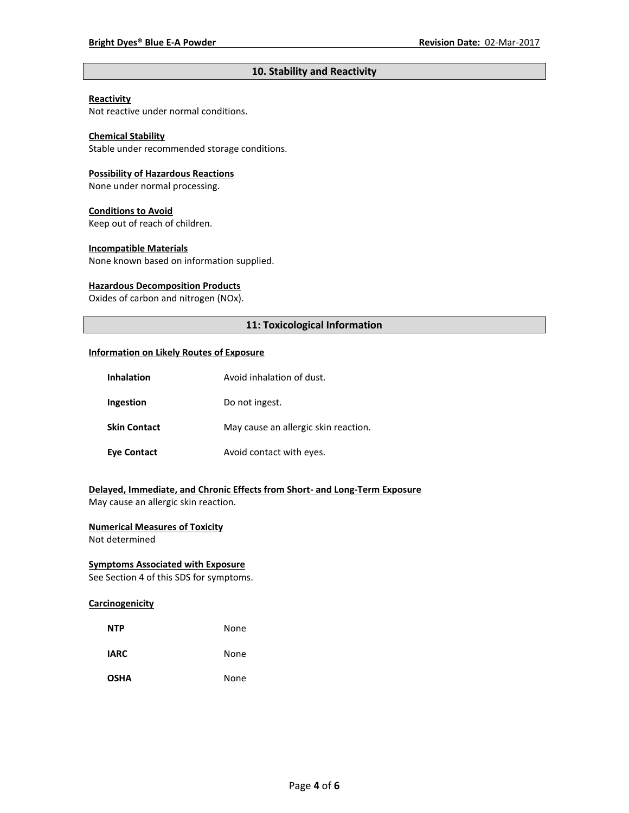## **10. Stability and Reactivity**

## **Reactivity**

Not reactive under normal conditions.

## **Chemical Stability**

Stable under recommended storage conditions.

#### **Possibility of Hazardous Reactions**

None under normal processing.

#### **Conditions to Avoid**

Keep out of reach of children.

#### **Incompatible Materials**

None known based on information supplied.

#### **Hazardous Decomposition Products**

Oxides of carbon and nitrogen (NOx).

## **11: Toxicological Information**

#### **Information on Likely Routes of Exposure**

| <b>Inhalation</b>   | Avoid inhalation of dust.            |
|---------------------|--------------------------------------|
| Ingestion           | Do not ingest.                       |
| <b>Skin Contact</b> | May cause an allergic skin reaction. |
| <b>Eye Contact</b>  | Avoid contact with eyes.             |

## **Delayed, Immediate, and Chronic Effects from Short- and Long-Term Exposure**

May cause an allergic skin reaction.

## **Numerical Measures of Toxicity**

Not determined

### **Symptoms Associated with Exposure**

See Section 4 of this SDS for symptoms.

### **Carcinogenicity**

| <b>NTP</b>  | None |
|-------------|------|
| <b>IARC</b> | None |
| <b>OSHA</b> | None |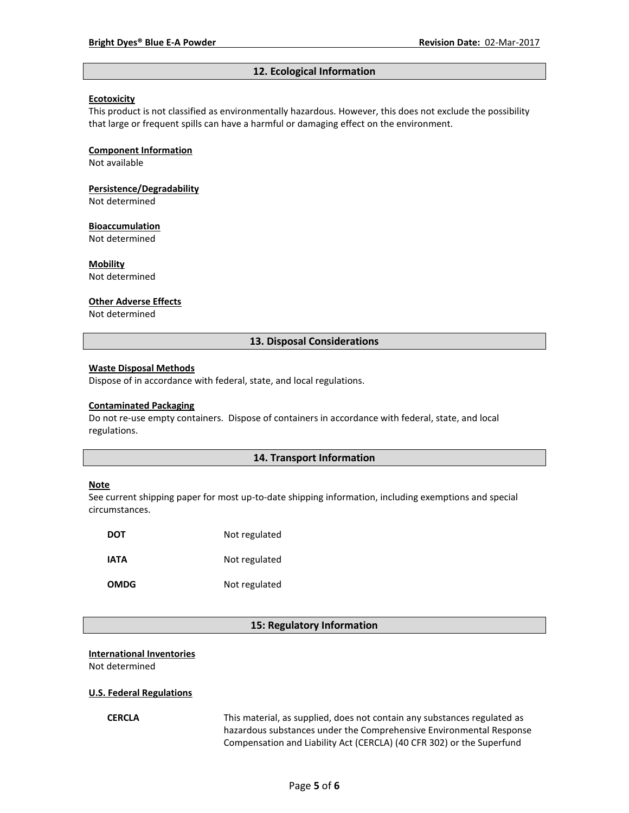#### **12. Ecological Information**

#### **Ecotoxicity**

This product is not classified as environmentally hazardous. However, this does not exclude the possibility that large or frequent spills can have a harmful or damaging effect on the environment.

#### **Component Information**

Not available

# **Persistence/Degradability**

Not determined

#### **Bioaccumulation**

Not determined

#### **Mobility**

Not determined

#### **Other Adverse Effects**

Not determined

### **13. Disposal Considerations**

#### **Waste Disposal Methods**

Dispose of in accordance with federal, state, and local regulations.

#### **Contaminated Packaging**

Do not re-use empty containers.Dispose of containers in accordance with federal, state, and local regulations.

#### **14. Transport Information**

#### **Note**

See current shipping paper for most up-to-date shipping information, including exemptions and special circumstances.

| DOT         | Not regulated |
|-------------|---------------|
| IATA        | Not regulated |
| <b>OMDG</b> | Not regulated |

#### **15: Regulatory Information**

## **International Inventories**

Not determined

#### **U.S. Federal Regulations**

**CERCLA** This material, as supplied, does not contain any substances regulated as hazardous substances under the Comprehensive Environmental Response Compensation and Liability Act (CERCLA) (40 CFR 302) or the Superfund